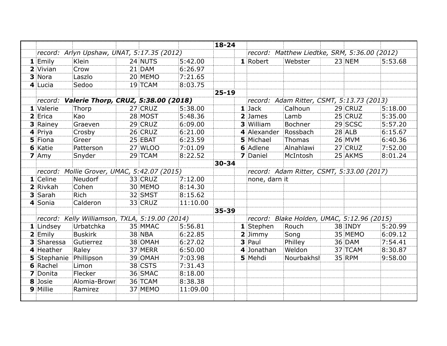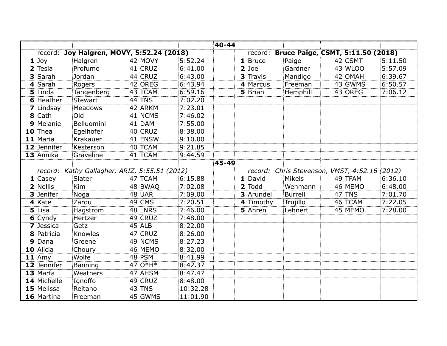|                  |                                               |          |          | $40 - 44$ |                 |                                               |         |         |
|------------------|-----------------------------------------------|----------|----------|-----------|-----------------|-----------------------------------------------|---------|---------|
|                  | record: Joy Halgren, MOVY, 5:52.24 (2018)     |          |          |           |                 | record: Bruce Paige, CSMT, 5:11.50 (2018)     |         |         |
| $1$ Joy          | Halgren                                       | 42 MOVY  | 5:52.24  |           | 1 Bruce         | Paige                                         | 42 CSMT | 5:11.50 |
| 2 Tesla          | Profumo                                       | 41 CRUZ  | 6:41.00  |           | $2$ Joe         | Gardner                                       | 43 WLOO | 5:57.09 |
| 3 Sarah          | Jordan                                        | 44 CRUZ  | 6:43.00  |           | <b>3</b> Travis | Mandigo                                       | 42 OMAH | 6:39.67 |
| 4 Sarah          | Rogers                                        | 42 OREG  | 6:43.94  |           | 4 Marcus        | Freeman                                       | 43 GWMS | 6:50.57 |
| <b>5</b> Linda   | Tangenberg                                    | 43 TCAM  | 6:59.16  |           | <b>5</b> Brian  | Hemphill                                      | 43 OREG | 7:06.12 |
| <b>6</b> Heather | Stewart                                       | 44 TNS   | 7:02.20  |           |                 |                                               |         |         |
| <b>7</b> Lindsay | Meadows                                       | 42 ARKM  | 7:23.01  |           |                 |                                               |         |         |
| 8 Cath           | O <sub>1</sub>                                | 41 NCMS  | 7:46.02  |           |                 |                                               |         |         |
| 9 Melanie        | Belluomini                                    | 41 DAM   | 7:55.00  |           |                 |                                               |         |         |
| 10 Thea          | Egelhofer                                     | 40 CRUZ  | 8:38.00  |           |                 |                                               |         |         |
| 11 Maria         | Krakauer                                      | 41 ENSW  | 9:10.00  |           |                 |                                               |         |         |
| 12 Jennifer      | Kesterson                                     | 40 TCAM  | 9:21.85  |           |                 |                                               |         |         |
| 13 Annika        | Graveline                                     | 41 TCAM  | 9:44.59  |           |                 |                                               |         |         |
|                  |                                               |          |          | 45-49     |                 |                                               |         |         |
|                  | record: Kathy Gallagher, ARIZ, 5:55.51 (2012) |          |          |           |                 | record: Chris Stevenson, VMST, 4:52.16 (2012) |         |         |
| 1 Casey          | Slater                                        | 47 TCAM  | 6:15.88  |           | 1 David         | Mikels                                        | 49 TFAM | 6:36.10 |
| 2 Nellis         | Kim                                           | 48 BWAQ  | 7:02.08  |           | 2 Todd          | Wehmann                                       | 46 MEMO | 6:48.00 |
| 3 Jenifer        | Noga                                          | 48 UAR   | 7:09.00  |           | 3 Arundel       | Burrell                                       | 47 TNS  | 7:01.70 |
| 4 Kate           | Zarou                                         | 49 CMS   | 7:20.51  |           | 4 Timothy       | Trujillo                                      | 46 TCAM | 7:22.05 |
| 5 Lisa           | Hagstrom                                      | 48 LNRS  | 7:46.00  |           | 5 Ahren         | Lehnert                                       | 45 MEMO | 7:28.00 |
| 6 Cyndy          | Hertzer                                       | 49 CRUZ  | 7:48.00  |           |                 |                                               |         |         |
| <b>7</b> Jessica | Getz                                          | $45$ ALB | 8:22.00  |           |                 |                                               |         |         |
| 8 Patricia       | <b>Knowles</b>                                | 47 CRUZ  | 8:26.00  |           |                 |                                               |         |         |
| 9 Dana           | Greene                                        | 49 NCMS  | 8:27.23  |           |                 |                                               |         |         |
| 10 Alicia        | Choury                                        | 46 MEMO  | 8:32.00  |           |                 |                                               |         |         |
| $11$ Amy         | Wolfe                                         | 48 PSM   | 8:41.99  |           |                 |                                               |         |         |
| 12 Jennifer      | Banning                                       | 47 0*H*  | 8:42.37  |           |                 |                                               |         |         |
| 13 Marfa         | Weathers                                      | 47 AHSM  | 8:47.47  |           |                 |                                               |         |         |
| 14 Michelle      | Ignoffo                                       | 49 CRUZ  | 8:48.00  |           |                 |                                               |         |         |
| 15 Melissa       | Reitano                                       | 43 TNS   | 10:32.28 |           |                 |                                               |         |         |
| 16 Martina       | Freeman                                       | 45 GWMS  | 11:01.90 |           |                 |                                               |         |         |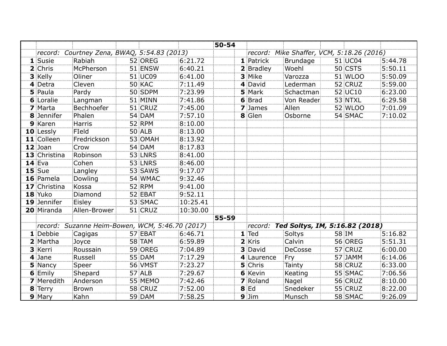|                   |                                                 |         |          | $50 - 54$ |                                        |                                           |         |         |
|-------------------|-------------------------------------------------|---------|----------|-----------|----------------------------------------|-------------------------------------------|---------|---------|
|                   | record: Courtney Zena, BWAQ, 5:54.83 (2013)     |         |          |           |                                        | record: Mike Shaffer, VCM, 5:18.26 (2016) |         |         |
| 1 Susie           | Rabiah                                          | 52 OREG | 6:21.72  |           | 1 Patrick                              | Brundage                                  | 51 UC04 | 5:44.78 |
| 2 Chris           | McPherson                                       | 51 ENSW | 6:40.21  |           | <b>2</b> Bradley                       | Woehl                                     | 50 CSTS | 5:50.11 |
| 3 Kelly           | Oliner                                          | 51 UC09 | 6:41.00  |           | 3 Mike                                 | Varozza                                   | 51 WLOO | 5:50.09 |
| 4 Detra           | Cleven                                          | 50 KAC  | 7:11.49  |           | 4 David                                | Lederman                                  | 52 CRUZ | 5:59.00 |
| 5 Paula           | Pardy                                           | 50 SDPM | 7:23.99  |           | 5 Mark                                 | Schactman                                 | 52 UC10 | 6:23.00 |
| <b>6</b> Loralie  | Langman                                         | 51 MINN | 7:41.86  |           | 6 Brad                                 | Von Reader                                | 53 NTXL | 6:29.58 |
| 7 Marta           | Bechhoefer                                      | 51 CRUZ | 7:45.00  |           | 7 James                                | Allen                                     | 52 WLOO | 7:01.09 |
| 8 Jennifer        | Phalen                                          | 54 DAM  | 7:57.10  |           | 8 Glen                                 | Osborne                                   | 54 SMAC | 7:10.02 |
| 9 Karen           | Harris                                          | 52 RPM  | 8:10.00  |           |                                        |                                           |         |         |
| 10 Lessly         | FIeld                                           | 50 ALB  | 8:13.00  |           |                                        |                                           |         |         |
| 11 Colleen        | Fredrickson                                     | 53 OMAH | 8:13.92  |           |                                        |                                           |         |         |
| 12 Joan           | Crow                                            | 54 DAM  | 8:17.83  |           |                                        |                                           |         |         |
| 13 Christina      | Robinson                                        | 53 LNRS | 8:41.00  |           |                                        |                                           |         |         |
| $14$ Eva          | Cohen                                           | 53 LNRS | 8:46.00  |           |                                        |                                           |         |         |
| $15$ Sue          | Langley                                         | 53 SAWS | 9:17.07  |           |                                        |                                           |         |         |
| 16 Pamela         | Dowling                                         | 54 WMAC | 9:32.46  |           |                                        |                                           |         |         |
| 17 Christina      | Kossa                                           | 52 RPM  | 9:41.00  |           |                                        |                                           |         |         |
| 18 Yuko           | Diamond                                         | 52 EBAT | 9:52.11  |           |                                        |                                           |         |         |
| 19 Jennifer       | Eisley                                          | 53 SMAC | 10:25.41 |           |                                        |                                           |         |         |
| 20 Miranda        | Allen-Brower                                    | 51 CRUZ | 10:30.00 |           |                                        |                                           |         |         |
|                   |                                                 |         |          | 55-59     |                                        |                                           |         |         |
|                   | record: Suzanne Heim-Bowen, WCM, 5:46.70 (2017) |         |          |           | record: Ted Soltys, IM, 5:16.82 (2018) |                                           |         |         |
| 1 Debbie          | Cagigas                                         | 57 EBAT | 6:46.71  |           | 1 Ted                                  | Soltys                                    | 58 IM   | 5:16.82 |
| 2 Martha          | Joyce                                           | 58 TAM  | 6:59.89  |           | 2 Kris                                 | Calvin                                    | 56 OREG | 5:51.31 |
| 3 Kerri           | Roussain                                        | 59 OREG | 7:04.89  |           | 3 David                                | <b>DeCosse</b>                            | 57 CRUZ | 6:00.00 |
| 4 Jane            | Russell                                         | 55 DAM  | 7:17.29  |           | 4 Laurence                             | Fry                                       | 57 JAMM | 6:14.06 |
| 5 Nancy           | Speer                                           | 56 VMST | 7:23.27  |           | 5 Chris                                | Tainty                                    | 58 CRUZ | 6:33.00 |
| 6 Emily           | Shepard                                         | 57 ALB  | 7:29.67  |           | <b>6 Kevin</b>                         | Keating                                   | 55 SMAC | 7:06.56 |
| <b>7</b> Meredith | Anderson                                        | 55 MEMO | 7:42.46  |           | 7 Roland                               | Nagel                                     | 56 CRUZ | 8:10.00 |
| 8 Terry           | Brown                                           | 58 CRUZ | 7:52.00  |           | $8$ Ed                                 | Snedeker                                  | 55 CRUZ | 8:22.00 |
| 9 Mary            | Kahn                                            | 59 DAM  | 7:58.25  |           | $9$ Jim                                | Munsch                                    | 58 SMAC | 9:26.09 |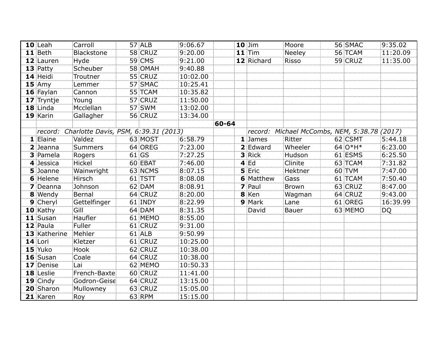| 10 Leah      | Carroll                                      | 57 ALB  | 9:06.67  |       | $10$ Jim         | Moore                                        | 56 SMAC | 9:35.02  |
|--------------|----------------------------------------------|---------|----------|-------|------------------|----------------------------------------------|---------|----------|
| 11 Beth      | <b>Blackstone</b>                            | 58 CRUZ | 9:20.00  |       | $11$ Tim         | Neeley                                       | 56 TCAM | 11:20.09 |
| 12 Lauren    | Hyde                                         | 59 CMS  | 9:21.00  |       | 12 Richard       | Risso                                        | 59 CRUZ | 11:35.00 |
| 13 Patty     | Scheuber                                     | 58 OMAH | 9:40.88  |       |                  |                                              |         |          |
| 14 Heidi     | Troutner                                     | 55 CRUZ | 10:02.00 |       |                  |                                              |         |          |
| $15$ Amy     | Lemmer                                       | 57 SMAC | 10:25.41 |       |                  |                                              |         |          |
| 16 Faylan    | Cannon                                       | 55 TCAM | 10:35.82 |       |                  |                                              |         |          |
| 17 Tryntje   | Young                                        | 57 CRUZ | 11:50.00 |       |                  |                                              |         |          |
| 18 Linda     | Mcclellan                                    | 57 SWM  | 13:02.00 |       |                  |                                              |         |          |
| 19 Karin     | Gallagher                                    | 56 CRUZ | 13:34.00 |       |                  |                                              |         |          |
|              |                                              |         |          | 60-64 |                  |                                              |         |          |
|              | record: Charlotte Davis, PSM, 6:39.31 (2013) |         |          |       |                  | record: Michael McCombs, NEM, 5:38.78 (2017) |         |          |
| 1 Elaine     | Valdez                                       | 63 MOST | 6:58.79  |       | 1 James          | Ritter                                       | 62 CSMT | 5:44.18  |
| 2 Jeanna     | Summers                                      | 64 OREG | 7:23.00  |       | 2 Edward         | Wheeler                                      | 64 0*H* | 6:23.00  |
| 3 Pamela     | Rogers                                       | $61$ GS | 7:27.25  |       | 3 Rick           | Hudson                                       | 61 ESMS | 6:25.50  |
| 4 Jessica    | Hickel                                       | 60 EBAT | 7:46.00  |       | $4$ Ed           | Clinite                                      | 63 TCAM | 7:31.82  |
| 5 Joanne     | Wainwright                                   | 63 NCMS | 8:07.15  |       | 5 Eric           | Hektner                                      | 60 TVM  | 7:47.00  |
| 6 Helene     | Hirsch                                       | 61 TSTT | 8:08.08  |       | <b>6 Matthew</b> | Gass                                         | 61 TCAM | 7:50.40  |
| 7 Deanna     | Johnson                                      | 62 DAM  | 8:08.91  |       | 7 Paul           | <b>Brown</b>                                 | 63 CRUZ | 8:47.00  |
| 8 Wendy      | Bernal                                       | 64 CRUZ | 8:20.00  |       | 8 Ken            | Wagman                                       | 64 CRUZ | 9:43.00  |
| 9 Cheryl     | Gettelfinger                                 | 61 INDY | 8:22.99  |       | 9 Mark           | Lane                                         | 61 OREG | 16:39.99 |
| 10 Kathy     | Gill                                         | 64 DAM  | 8:31.35  |       | David            | <b>Bauer</b>                                 | 63 MEMO | DQ       |
| 11 Susan     | Haufler                                      | 61 MEMO | 8:55.00  |       |                  |                                              |         |          |
| 12 Paula     | Fuller                                       | 61 CRUZ | 9:31.00  |       |                  |                                              |         |          |
| 13 Katherine | Mehler                                       | 61 ALB  | 9:50.99  |       |                  |                                              |         |          |
| 14 Lori      | Kletzer                                      | 61 CRUZ | 10:25.00 |       |                  |                                              |         |          |
| 15 Yuko      | Hook                                         | 62 CRUZ | 10:38.00 |       |                  |                                              |         |          |
| 16 Susan     | Coale                                        | 64 CRUZ | 10:38.00 |       |                  |                                              |         |          |
| 17 Denise    | Lai                                          | 62 MEMO | 10:50.33 |       |                  |                                              |         |          |
| 18 Leslie    | French-Baxte                                 | 60 CRUZ | 11:41.00 |       |                  |                                              |         |          |
| 19 Cindy     | Godron-Geise                                 | 64 CRUZ | 13:15.00 |       |                  |                                              |         |          |
| 20 Sharon    | Mullowney                                    | 63 CRUZ | 15:05.00 |       |                  |                                              |         |          |
| 21 Karen     | <b>Roy</b>                                   | 63 RPM  | 15:15.00 |       |                  |                                              |         |          |